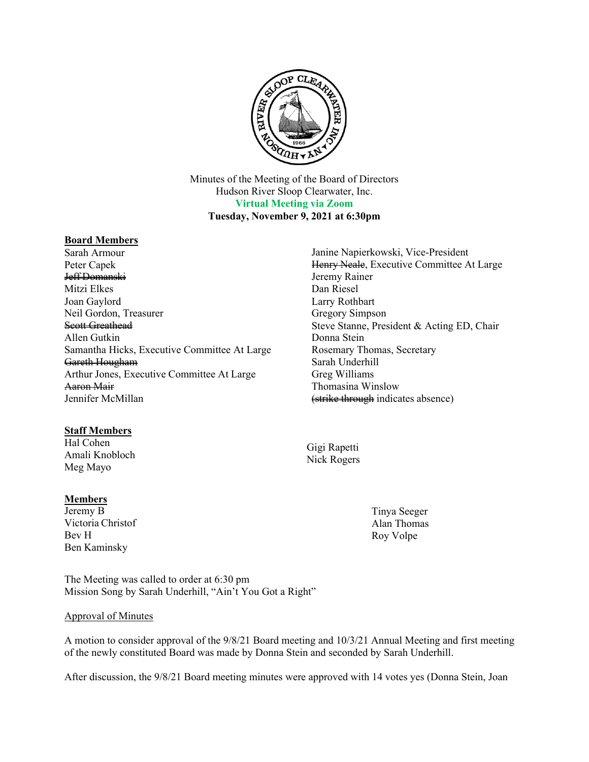

Minutes of the Meeting of the Board of Directors Hudson River Sloop Clearwater, Inc. **Virtual Meeting via Zoom Tuesday, November 9, 2021 at 6:30pm**

# **Board Members**

Sarah Armour Peter Capek Jeff Domanski Mitzi Elkes Joan Gaylord Neil Gordon, Treasurer Scott Greathead Allen Gutkin Samantha Hicks, Executive Committee At Large Gareth Hougham Arthur Jones, Executive Committee At Large Aaron Mair Jennifer McMillan

# **Staff Members**

Hal Cohen Amali Knobloch Meg Mayo

# **Members**

Jeremy B Victoria Christof Bev H Ben Kaminsky

The Meeting was called to order at 6:30 pm Mission Song by Sarah Underhill, "Ain't You Got a Right"

# Approval of Minutes

A motion to consider approval of the 9/8/21 Board meeting and 10/3/21 Annual Meeting and first meeting of the newly constituted Board was made by Donna Stein and seconded by Sarah Underhill.

After discussion, the 9/8/21 Board meeting minutes were approved with 14 votes yes (Donna Stein, Joan

Janine Napierkowski, Vice-President Henry Neale, Executive Committee At Large Jeremy Rainer Dan Riesel Larry Rothbart Gregory Simpson Steve Stanne, President & Acting ED, Chair Donna Stein Rosemary Thomas, Secretary Sarah Underhill Greg Williams Thomasina Winslow (strike through indicates absence)

Gigi Rapetti Nick Rogers

> Tinya Seeger Alan Thomas Roy Volpe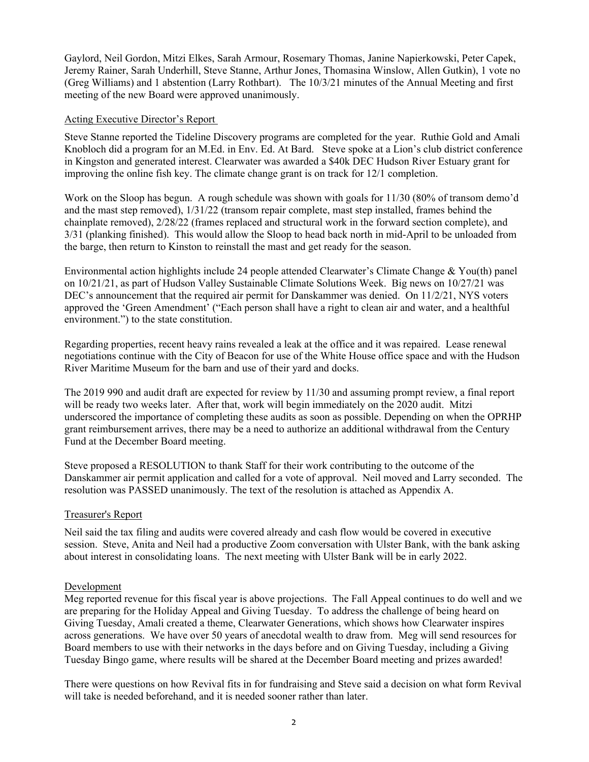Gaylord, Neil Gordon, Mitzi Elkes, Sarah Armour, Rosemary Thomas, Janine Napierkowski, Peter Capek, Jeremy Rainer, Sarah Underhill, Steve Stanne, Arthur Jones, Thomasina Winslow, Allen Gutkin), 1 vote no (Greg Williams) and 1 abstention (Larry Rothbart). The 10/3/21 minutes of the Annual Meeting and first meeting of the new Board were approved unanimously.

# Acting Executive Director's Report

Steve Stanne reported the Tideline Discovery programs are completed for the year. Ruthie Gold and Amali Knobloch did a program for an M.Ed. in Env. Ed. At Bard. Steve spoke at a Lion's club district conference in Kingston and generated interest. Clearwater was awarded a \$40k DEC Hudson River Estuary grant for improving the online fish key. The climate change grant is on track for 12/1 completion.

Work on the Sloop has begun. A rough schedule was shown with goals for  $11/30$  (80% of transom demo'd and the mast step removed), 1/31/22 (transom repair complete, mast step installed, frames behind the chainplate removed), 2/28/22 (frames replaced and structural work in the forward section complete), and 3/31 (planking finished). This would allow the Sloop to head back north in mid-April to be unloaded from the barge, then return to Kinston to reinstall the mast and get ready for the season.

Environmental action highlights include 24 people attended Clearwater's Climate Change & You(th) panel on 10/21/21, as part of Hudson Valley Sustainable Climate Solutions Week. Big news on 10/27/21 was DEC's announcement that the required air permit for Danskammer was denied. On 11/2/21, NYS voters approved the 'Green Amendment' ("Each person shall have a right to clean air and water, and a healthful environment.") to the state constitution.

Regarding properties, recent heavy rains revealed a leak at the office and it was repaired. Lease renewal negotiations continue with the City of Beacon for use of the White House office space and with the Hudson River Maritime Museum for the barn and use of their yard and docks.

The 2019 990 and audit draft are expected for review by 11/30 and assuming prompt review, a final report will be ready two weeks later. After that, work will begin immediately on the 2020 audit. Mitzi underscored the importance of completing these audits as soon as possible. Depending on when the OPRHP grant reimbursement arrives, there may be a need to authorize an additional withdrawal from the Century Fund at the December Board meeting.

Steve proposed a RESOLUTION to thank Staff for their work contributing to the outcome of the Danskammer air permit application and called for a vote of approval. Neil moved and Larry seconded. The resolution was PASSED unanimously. The text of the resolution is attached as Appendix A.

# Treasurer's Report

Neil said the tax filing and audits were covered already and cash flow would be covered in executive session. Steve, Anita and Neil had a productive Zoom conversation with Ulster Bank, with the bank asking about interest in consolidating loans. The next meeting with Ulster Bank will be in early 2022.

# Development

Meg reported revenue for this fiscal year is above projections. The Fall Appeal continues to do well and we are preparing for the Holiday Appeal and Giving Tuesday. To address the challenge of being heard on Giving Tuesday, Amali created a theme, Clearwater Generations, which shows how Clearwater inspires across generations. We have over 50 years of anecdotal wealth to draw from. Meg will send resources for Board members to use with their networks in the days before and on Giving Tuesday, including a Giving Tuesday Bingo game, where results will be shared at the December Board meeting and prizes awarded!

There were questions on how Revival fits in for fundraising and Steve said a decision on what form Revival will take is needed beforehand, and it is needed sooner rather than later.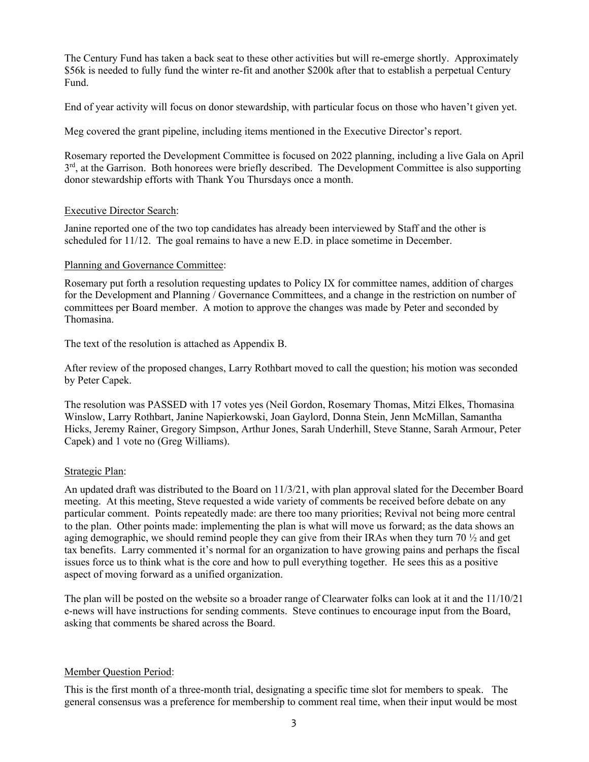The Century Fund has taken a back seat to these other activities but will re-emerge shortly. Approximately \$56k is needed to fully fund the winter re-fit and another \$200k after that to establish a perpetual Century Fund.

End of year activity will focus on donor stewardship, with particular focus on those who haven't given yet.

Meg covered the grant pipeline, including items mentioned in the Executive Director's report.

Rosemary reported the Development Committee is focused on 2022 planning, including a live Gala on April  $3<sup>rd</sup>$ , at the Garrison. Both honorees were briefly described. The Development Committee is also supporting donor stewardship efforts with Thank You Thursdays once a month.

# Executive Director Search:

Janine reported one of the two top candidates has already been interviewed by Staff and the other is scheduled for 11/12. The goal remains to have a new E.D. in place sometime in December.

#### Planning and Governance Committee:

Rosemary put forth a resolution requesting updates to Policy IX for committee names, addition of charges for the Development and Planning / Governance Committees, and a change in the restriction on number of committees per Board member. A motion to approve the changes was made by Peter and seconded by Thomasina.

The text of the resolution is attached as Appendix B.

After review of the proposed changes, Larry Rothbart moved to call the question; his motion was seconded by Peter Capek.

The resolution was PASSED with 17 votes yes (Neil Gordon, Rosemary Thomas, Mitzi Elkes, Thomasina Winslow, Larry Rothbart, Janine Napierkowski, Joan Gaylord, Donna Stein, Jenn McMillan, Samantha Hicks, Jeremy Rainer, Gregory Simpson, Arthur Jones, Sarah Underhill, Steve Stanne, Sarah Armour, Peter Capek) and 1 vote no (Greg Williams).

# Strategic Plan:

An updated draft was distributed to the Board on 11/3/21, with plan approval slated for the December Board meeting. At this meeting, Steve requested a wide variety of comments be received before debate on any particular comment. Points repeatedly made: are there too many priorities; Revival not being more central to the plan. Other points made: implementing the plan is what will move us forward; as the data shows an aging demographic, we should remind people they can give from their IRAs when they turn 70  $\frac{1}{2}$  and get tax benefits. Larry commented it's normal for an organization to have growing pains and perhaps the fiscal issues force us to think what is the core and how to pull everything together. He sees this as a positive aspect of moving forward as a unified organization.

The plan will be posted on the website so a broader range of Clearwater folks can look at it and the 11/10/21 e-news will have instructions for sending comments. Steve continues to encourage input from the Board, asking that comments be shared across the Board.

# Member Question Period:

This is the first month of a three-month trial, designating a specific time slot for members to speak. The general consensus was a preference for membership to comment real time, when their input would be most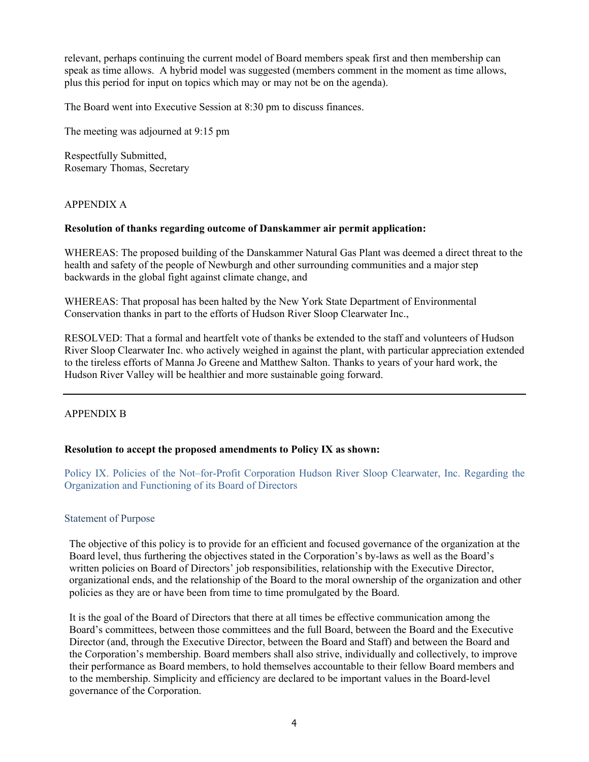relevant, perhaps continuing the current model of Board members speak first and then membership can speak as time allows. A hybrid model was suggested (members comment in the moment as time allows, plus this period for input on topics which may or may not be on the agenda).

The Board went into Executive Session at 8:30 pm to discuss finances.

The meeting was adjourned at 9:15 pm

Respectfully Submitted, Rosemary Thomas, Secretary

#### APPENDIX A

#### **Resolution of thanks regarding outcome of Danskammer air permit application:**

WHEREAS: The proposed building of the Danskammer Natural Gas Plant was deemed a direct threat to the health and safety of the people of Newburgh and other surrounding communities and a major step backwards in the global fight against climate change, and

WHEREAS: That proposal has been halted by the New York State Department of Environmental Conservation thanks in part to the efforts of Hudson River Sloop Clearwater Inc.,

RESOLVED: That a formal and heartfelt vote of thanks be extended to the staff and volunteers of Hudson River Sloop Clearwater Inc. who actively weighed in against the plant, with particular appreciation extended to the tireless efforts of Manna Jo Greene and Matthew Salton. Thanks to years of your hard work, the Hudson River Valley will be healthier and more sustainable going forward.

# APPENDIX B

#### **Resolution to accept the proposed amendments to Policy IX as shown:**

Policy IX. Policies of the Not–for-Profit Corporation Hudson River Sloop Clearwater, Inc. Regarding the Organization and Functioning of its Board of Directors

#### Statement of Purpose

The objective of this policy is to provide for an efficient and focused governance of the organization at the Board level, thus furthering the objectives stated in the Corporation's by-laws as well as the Board's written policies on Board of Directors' job responsibilities, relationship with the Executive Director, organizational ends, and the relationship of the Board to the moral ownership of the organization and other policies as they are or have been from time to time promulgated by the Board.

It is the goal of the Board of Directors that there at all times be effective communication among the Board's committees, between those committees and the full Board, between the Board and the Executive Director (and, through the Executive Director, between the Board and Staff) and between the Board and the Corporation's membership. Board members shall also strive, individually and collectively, to improve their performance as Board members, to hold themselves accountable to their fellow Board members and to the membership. Simplicity and efficiency are declared to be important values in the Board-level governance of the Corporation.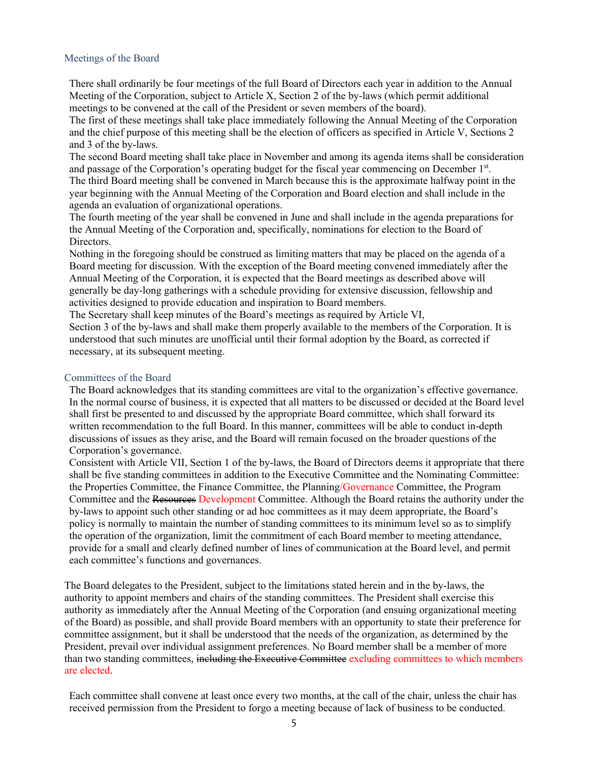# Meetings of the Board

There shall ordinarily be four meetings of the full Board of Directors each year in addition to the Annual Meeting of the Corporation, subject to Article X, Section 2 of the by-laws (which permit additional meetings to be convened at the call of the President or seven members of the board).

The first of these meetings shall take place immediately following the Annual Meeting of the Corporation and the chief purpose of this meeting shall be the election of officers as specified in Article V, Sections 2 and 3 of the by-laws.

The second Board meeting shall take place in November and among its agenda items shall be consideration and passage of the Corporation's operating budget for the fiscal year commencing on December 1st. The third Board meeting shall be convened in March because this is the approximate halfway point in the year beginning with the Annual Meeting of the Corporation and Board election and shall include in the agenda an evaluation of organizational operations.

The fourth meeting of the year shall be convened in June and shall include in the agenda preparations for the Annual Meeting of the Corporation and, specifically, nominations for election to the Board of Directors.

Nothing in the foregoing should be construed as limiting matters that may be placed on the agenda of a Board meeting for discussion. With the exception of the Board meeting convened immediately after the Annual Meeting of the Corporation, it is expected that the Board meetings as described above will generally be day-long gatherings with a schedule providing for extensive discussion, fellowship and activities designed to provide education and inspiration to Board members.

The Secretary shall keep minutes of the Board's meetings as required by Article VI,

Section 3 of the by-laws and shall make them properly available to the members of the Corporation. It is understood that such minutes are unofficial until their formal adoption by the Board, as corrected if necessary, at its subsequent meeting.

#### Committees of the Board

The Board acknowledges that its standing committees are vital to the organization's effective governance. In the normal course of business, it is expected that all matters to be discussed or decided at the Board level shall first be presented to and discussed by the appropriate Board committee, which shall forward its written recommendation to the full Board. In this manner, committees will be able to conduct in-depth discussions of issues as they arise, and the Board will remain focused on the broader questions of the Corporation's governance.

Consistent with Article VII, Section 1 of the by-laws, the Board of Directors deems it appropriate that there shall be five standing committees in addition to the Executive Committee and the Nominating Committee: the Properties Committee, the Finance Committee, the Planning/Governance Committee, the Program Committee and the Resources Development Committee. Although the Board retains the authority under the by-laws to appoint such other standing or ad hoc committees as it may deem appropriate, the Board's policy is normally to maintain the number of standing committees to its minimum level so as to simplify the operation of the organization, limit the commitment of each Board member to meeting attendance, provide for a small and clearly defined number of lines of communication at the Board level, and permit each committee's functions and governances.

The Board delegates to the President, subject to the limitations stated herein and in the by-laws, the authority to appoint members and chairs of the standing committees. The President shall exercise this authority as immediately after the Annual Meeting of the Corporation (and ensuing organizational meeting of the Board) as possible, and shall provide Board members with an opportunity to state their preference for committee assignment, but it shall be understood that the needs of the organization, as determined by the President, prevail over individual assignment preferences. No Board member shall be a member of more than two standing committees, including the Executive Committee excluding committees to which members are elected.

Each committee shall convene at least once every two months, at the call of the chair, unless the chair has received permission from the President to forgo a meeting because of lack of business to be conducted.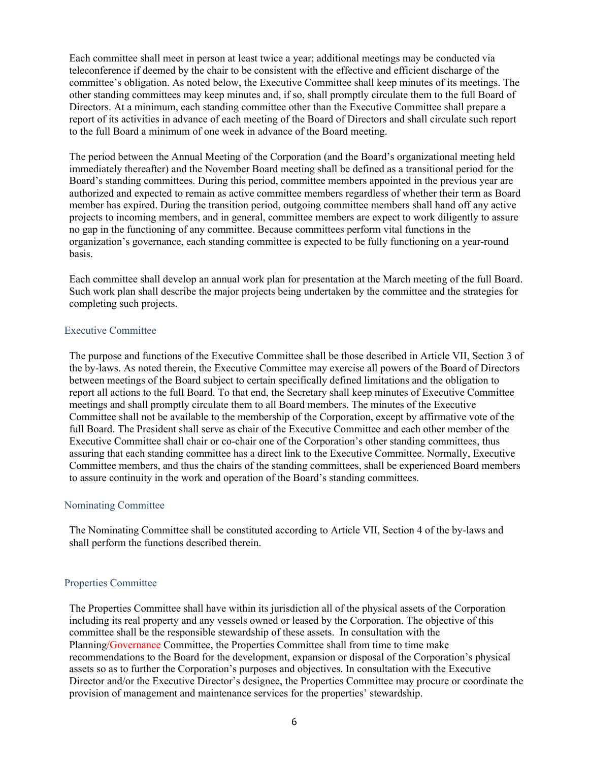Each committee shall meet in person at least twice a year; additional meetings may be conducted via teleconference if deemed by the chair to be consistent with the effective and efficient discharge of the committee's obligation. As noted below, the Executive Committee shall keep minutes of its meetings. The other standing committees may keep minutes and, if so, shall promptly circulate them to the full Board of Directors. At a minimum, each standing committee other than the Executive Committee shall prepare a report of its activities in advance of each meeting of the Board of Directors and shall circulate such report to the full Board a minimum of one week in advance of the Board meeting.

The period between the Annual Meeting of the Corporation (and the Board's organizational meeting held immediately thereafter) and the November Board meeting shall be defined as a transitional period for the Board's standing committees. During this period, committee members appointed in the previous year are authorized and expected to remain as active committee members regardless of whether their term as Board member has expired. During the transition period, outgoing committee members shall hand off any active projects to incoming members, and in general, committee members are expect to work diligently to assure no gap in the functioning of any committee. Because committees perform vital functions in the organization's governance, each standing committee is expected to be fully functioning on a year-round basis.

Each committee shall develop an annual work plan for presentation at the March meeting of the full Board. Such work plan shall describe the major projects being undertaken by the committee and the strategies for completing such projects.

# Executive Committee

The purpose and functions of the Executive Committee shall be those described in Article VII, Section 3 of the by-laws. As noted therein, the Executive Committee may exercise all powers of the Board of Directors between meetings of the Board subject to certain specifically defined limitations and the obligation to report all actions to the full Board. To that end, the Secretary shall keep minutes of Executive Committee meetings and shall promptly circulate them to all Board members. The minutes of the Executive Committee shall not be available to the membership of the Corporation, except by affirmative vote of the full Board. The President shall serve as chair of the Executive Committee and each other member of the Executive Committee shall chair or co-chair one of the Corporation's other standing committees, thus assuring that each standing committee has a direct link to the Executive Committee. Normally, Executive Committee members, and thus the chairs of the standing committees, shall be experienced Board members to assure continuity in the work and operation of the Board's standing committees.

# Nominating Committee

The Nominating Committee shall be constituted according to Article VII, Section 4 of the by-laws and shall perform the functions described therein.

# Properties Committee

The Properties Committee shall have within its jurisdiction all of the physical assets of the Corporation including its real property and any vessels owned or leased by the Corporation. The objective of this committee shall be the responsible stewardship of these assets. In consultation with the Planning/Governance Committee, the Properties Committee shall from time to time make recommendations to the Board for the development, expansion or disposal of the Corporation's physical assets so as to further the Corporation's purposes and objectives. In consultation with the Executive Director and/or the Executive Director's designee, the Properties Committee may procure or coordinate the provision of management and maintenance services for the properties' stewardship.